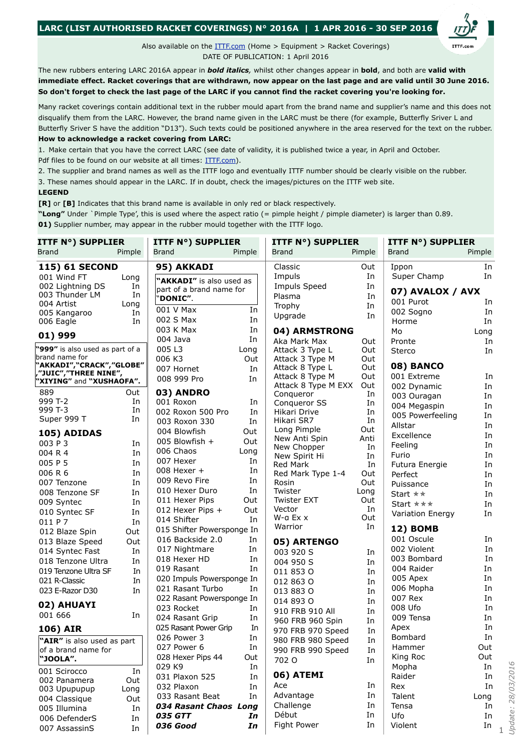## **LARC (LIST AUTHORISED RACKET COVERINGS) N° 2016A | 1 APR 2016 - 30 SEP 2016**

Also available on the **[ITTF.com](http://www.ittf.com/_front_page/ittf1.asp?category=rubber)** (Home > Equipment > Racket Coverings) DATE OF PUBLICATION: 1 April 2016

The new rubbers entering LARC 2016A appear in *bold italics,* whilst other changes appear in **bold**, and both are **valid with immediate effect. Racket coverings that are withdrawn, now appear on the last page and are valid until 30 June 2016. So don't forget to check the last page of the LARC if you cannot find the racket covering you're looking for.**

Many racket coverings contain additional text in the rubber mould apart from the brand name and supplier's name and this does not disqualify them from the LARC. However, the brand name given in the LARC must be there (for example, Butterfly Sriver L and Butterfly Sriver S have the addition "D13"). Such texts could be positioned anywhere in the area reserved for the text on the rubber.

## **How to acknowledge a racket covering from LARC:**

1. Make certain that you have the correct LARC (see date of validity, it is published twice a year, in April and October. Pdf files to be found on our website at all times: [ITTF.com](http://www.ittf.com/_front_page/ittf1.asp?category=rubber)).

2. The supplier and brand names as well as the ITTF logo and eventually ITTF number should be clearly visible on the rubber.

3. These names should appear in the LARC. If in doubt, check the images/pictures on the ITTF web site.

## **LEGEND**

**[R]** or **[B]** Indicates that this brand name is available in only red or black respectively.

**"Long"** Under `Pimple Type', this is used where the aspect ratio (= pimple height / pimple diameter) is larger than 0.89.

**01)** Supplier number, may appear in the rubber mould together with the ITTF logo.

| <b>ITTF N°) SUPPLIER</b>                          |          | <b>ITTF N°) SUPPLIER</b>                       |          | <b>ITTF N°) SUPPLIER</b>     |           | <b>ITTF N°) SUPPLIER</b> |        |
|---------------------------------------------------|----------|------------------------------------------------|----------|------------------------------|-----------|--------------------------|--------|
| Brand                                             | Pimple   | Brand                                          | Pimple   | <b>Brand</b>                 | Pimple    | <b>Brand</b>             | Pimple |
| <b>115) 61 SECOND</b>                             |          | 95) AKKADI                                     |          | Classic                      | Out       | Ippon                    | In     |
| 001 Wind FT                                       | Long     | "AKKADI" is also used as                       |          | Impuls                       | In        | Super Champ              | In     |
| 002 Lightning DS                                  | In       | part of a brand name for                       |          | <b>Impuls Speed</b>          | In        | 07) AVALOX / AVX         |        |
| 003 Thunder LM                                    | In       | 'DONIC".                                       |          | Plasma                       | In        | 001 Purot                | In     |
| 004 Artist                                        | Long     | 001 V Max                                      | In       | Trophy                       | In        | 002 Sogno                | In     |
| 005 Kangaroo<br>006 Eagle                         | In<br>In | 002 S Max                                      | In       | Upgrade                      | In        | Horme                    | In     |
|                                                   |          | 003 K Max                                      | In       | 04) ARMSTRONG                |           | Mo                       | Long   |
| 01) 999                                           |          | 004 Java                                       | In       | Aka Mark Max                 | Out       | Pronte                   | In     |
| "999" is also used as part of a                   |          | 005L3                                          | Long     | Attack 3 Type L              | Out       | Sterco                   | In     |
| brand name for                                    |          | 006 K3                                         | Out      | Attack 3 Type M              | Out       |                          |        |
| "AKKADI","CRACK","GLOBE"                          |          | 007 Hornet                                     | In       | Attack 8 Type L              | Out       | 08) BANCO                |        |
| ,"JUIC","THREE NINE",<br>"XIYING" and "XUSHAOFA". |          | 008 999 Pro                                    | In       | Attack 8 Type M              | Out       | 001 Extreme              | In     |
|                                                   |          |                                                |          | Attack 8 Type M EXX          | Out       | 002 Dynamic              | In     |
| 889<br>999 T-2                                    | Out      | 03) ANDRO                                      |          | Conqueror                    | In        | 003 Ouragan              | In     |
| 999 T-3                                           | In<br>In | 001 Roxon                                      | In       | Conqueror SS                 | In        | 004 Megaspin             | In     |
| Super 999 T                                       | In       | 002 Roxon 500 Pro                              | In       | Hikari Drive<br>Hikari SR7   | In<br>In  | 005 Powerfeeling         | In     |
|                                                   |          | 003 Roxon 330                                  | In       | Long Pimple                  | Out       | Allstar                  | In     |
| 105) ADIDAS                                       |          | 004 Blowfish                                   | Out      | New Anti Spin                | Anti      | Excellence               | In     |
| 003 P 3                                           | In       | 005 Blowfish +                                 | Out      | New Chopper                  | In        | Feeling                  | In     |
| 004 R 4                                           | In       | 006 Chaos                                      | Long     | New Spirit Hi                | In        | Furio                    | In     |
| 005 P 5                                           | In       | 007 Hexer                                      | In       | Red Mark                     | In        | Futura Energie           | In     |
| 006 R 6                                           | In       | 008 Hexer +                                    | In       | Red Mark Type 1-4            | Out       | Perfect                  | In     |
| 007 Tenzone                                       | In       | 009 Revo Fire                                  | In       | Rosin                        | Out       | Puissance                | In     |
| 008 Tenzone SF                                    | In       | 010 Hexer Duro                                 | In       | Twister                      | Long      | Start $\star \star$      | In     |
| 009 Syntec                                        | In       | 011 Hexer Pips                                 | Out      | <b>Twister EXT</b><br>Vector | Out<br>In | Start ***                | In     |
| 010 Syntec SF                                     | In       | 012 Hexer Pips +                               | Out      | $W$ -a Ex $x$                | Out       | Variation Energy         | In     |
| 011 P 7                                           | In       | 014 Shifter                                    | In       | Warrior                      | In        | <b>12) BOMB</b>          |        |
| 012 Blaze Spin                                    | Out      | 015 Shifter Powersponge In<br>016 Backside 2.0 |          |                              |           | 001 Oscule               | In     |
| 013 Blaze Speed                                   | Out      |                                                | In<br>In | 05) ARTENGO                  |           | 002 Violent              | In     |
| 014 Syntec Fast                                   | In       | 017 Nightmare<br>018 Hexer HD                  | In       | 003 920 S                    | In        | 003 Bombard              | In     |
| 018 Tenzone Ultra                                 | In       | 019 Rasant                                     |          | 004 950 S                    | In        | 004 Raider               | In     |
| 019 Tenzone Ultra SF                              | In       |                                                | In       | 011 853 0                    | In        |                          | In     |
| 021 R-Classic                                     | In       | 020 Impuls Powersponge In<br>021 Rasant Turbo  |          | 012 863 0                    | In        | 005 Apex<br>006 Mopha    | In     |
| 023 E-Razor D30                                   | In       | 022 Rasant Powersponge In                      | In       | 013 883 0                    | In        | 007 Rex                  | In     |
| 02) AHUAYI                                        |          | 023 Rocket                                     | In       | 014 893 0                    | In        | 008 Ufo                  | In     |
| 001 666                                           | In       | 024 Rasant Grip                                | In       | 910 FRB 910 All              | In        | 009 Tensa                | In     |
|                                                   |          | 025 Rasant Power Grip                          | In       | 960 FRB 960 Spin             | In        | Apex                     | In     |
| 106) AIR                                          |          | 026 Power 3                                    |          | 970 FRB 970 Speed            | In        | Bombard                  | In     |
| "AIR" is also used as part                        |          | 027 Power 6                                    | In<br>In | 980 FRB 980 Speed            | In        | Hammer                   | Out    |
| of a brand name for                               |          | 028 Hexer Pips 44                              | Out      | 990 FRB 990 Speed            | In        | King Roc                 | Out    |
| "JOOLA".                                          |          | 029 K9                                         | In       | 702 O                        | In        | Mopha                    | In     |
| 001 Scirocco                                      | In       | 031 Plaxon 525                                 | In       | 06) ATEMI                    |           | Raider                   | In     |
| 002 Panamera                                      | Out      | 032 Plaxon                                     | In       | Ace                          | In        | Rex                      | In     |
| 003 Upupupup                                      | Long     | 033 Rasant Beat                                | In       | Advantage                    | In        | Talent                   | Long   |
| 004 Classique                                     | Out      | 034 Rasant Chaos Long                          |          | Challenge                    | In        | Tensa                    | In     |
| 005 Illumina                                      | In       | <b>035 GTT</b>                                 | In       | Début                        | In        | Ufo                      | In     |
| 006 DefenderS                                     | In       | 036 Good                                       | In       | Fight Power                  | In        | Violent                  | In     |
| 007 AssassinS                                     | In       |                                                |          |                              |           |                          |        |

1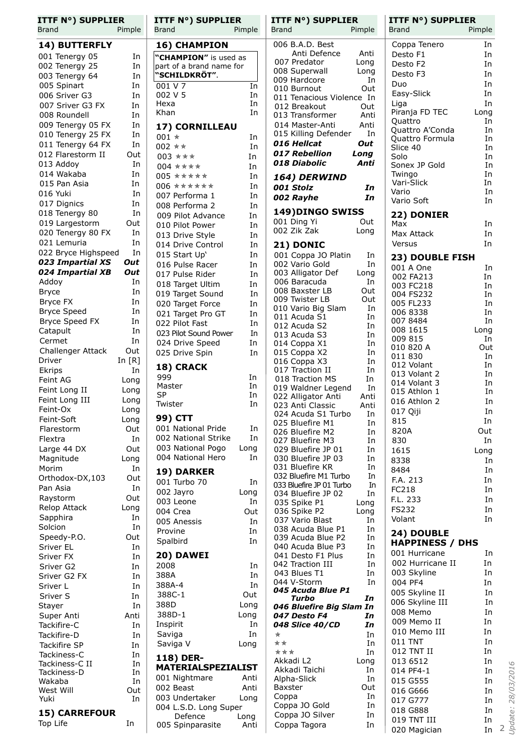| <b>ITTF N°) SUPPLIER</b> |          | <b>ITTF N°) SUPPLIER</b>  |          | <b>ITTF N°) SUPPLIER</b>                       |            | <b>ITTF N°) SUPPLIER</b>   |                      |
|--------------------------|----------|---------------------------|----------|------------------------------------------------|------------|----------------------------|----------------------|
| Brand                    | Pimple   | <b>Brand</b>              | Pimple   | Brand                                          | Pimple     | Brand                      | Pimple               |
| 14) BUTTERFLY            |          | 16) CHAMPION              |          | 006 B.A.D. Best                                |            | Coppa Tenero               | In                   |
| 001 Tenergy 05           | In       | "CHAMPION" is used as     |          | Anti Defence                                   | Anti       | Desto F1                   | In                   |
| 002 Tenergy 25           | In       | part of a brand name for  |          | 007 Predator                                   | Long       | Desto F2                   | In                   |
| 003 Tenergy 64           | In       | "SCHILDKRÖT".             |          | 008 Superwall                                  | Long       | Desto F3                   | In                   |
| 005 Spinart              | In       | 001 V 7                   | In       | 009 Hardcore                                   | In         | Duo                        | In                   |
| 006 Sriver G3            | In       | 002 V 5                   | In       | 010 Burnout                                    | Out        | Easy-Slick                 | In                   |
| 007 Sriver G3 FX         | In       | Hexa                      | In       | 011 Tenacious Violence In<br>012 Breakout      | Out        | Liga                       | In                   |
| 008 Roundell             | In       | Khan                      | In       | 013 Transformer                                | Anti       | Piranja FD TEC             | Long                 |
| 009 Tenergy 05 FX        | In       | 17) CORNILLEAU            |          | 014 Master-Anti                                | Anti       | Quattro                    | In                   |
| 010 Tenergy 25 FX        | In       | 001 $*$                   | In       | 015 Killing Defender                           | In         | Quattro A'Conda            | In                   |
| 011 Tenergy 64 FX        | In       | 002 * *                   | In       | 016 Hellcat                                    | Out        | Quattro Formula            | In                   |
| 012 Flarestorm II        | Out      | 003 ***                   | In       | 017 Rebellion                                  | Long       | Slice 40<br>Solo           | In<br>In             |
| 013 Addoy                | In       | 004 ****                  | In       | 018 Diabolic                                   | Anti       | Sonex JP Gold              | In                   |
| 014 Wakaba               | In       | $005$ *****               | In       |                                                |            | Twingo                     | In                   |
| 015 Pan Asia             | In       | $006$ ******              | In       | 164) DERWIND                                   |            | Vari-Slick                 | In                   |
| 016 Yuki                 | In       | 007 Performa 1            | In       | 001 Stolz                                      | In         | Vario                      | In                   |
| 017 Dignics              | In       | 008 Performa 2            | In       | 002 Rayhe                                      | In         | Vario Soft                 | In                   |
| 018 Tenergy 80           | In       | 009 Pilot Advance         | In       | 149) DINGO SWISS                               |            | 22) DONIER                 |                      |
| 019 Largestorm           | Out      | 010 Pilot Power           | In       | 001 Ding Yi                                    | Out        | Max                        | In                   |
| 020 Tenergy 80 FX        | In       | 013 Drive Style           |          | 002 Zik Zak                                    | Long       | Max Attack                 | In                   |
| 021 Lemuria              | In       | 014 Drive Control         | In<br>In | 21) DONIC                                      |            | Versus                     | In                   |
| 022 Bryce Highspeed      | In       | 015 Start Up'             | In       | 001 Coppa JO Platin                            |            |                            |                      |
| 023 Impartial XS         | Out      | 016 Pulse Racer           | In       | 002 Vario Gold                                 | In<br>In   | 23) DOUBLE FISH            |                      |
| 024 Impartial XB         | Out      | 017 Pulse Rider           | In       | 003 Alligator Def                              | Long       | 001 A One                  | In                   |
| Addoy                    | In       | 018 Target Ultim          | In       | 006 Baracuda                                   | In         | 002 FA213<br>003 FC218     | In<br>In             |
| <b>Bryce</b>             | In       | 019 Target Sound          | In       | 008 Baxster LB                                 | Out        | 004 FS232                  | In                   |
| Bryce FX                 | In       | 020 Target Force          | In       | 009 Twister LB                                 | Out        | 005 FL233                  | In                   |
| <b>Bryce Speed</b>       | In       | 021 Target Pro GT         | In       | 010 Vario Big Slam                             | In         | 006 8338                   | In                   |
| Bryce Speed FX           | In       | 022 Pilot Fast            | In       | 011 Acuda S1                                   | In         | 007 8484                   | In                   |
| Catapult                 | In       | 023 Pilot Sound Power     | In       | 012 Acuda S2<br>013 Acuda S3                   | In<br>In   | 008 1615                   | Long                 |
| Cermet                   | In       | 024 Drive Speed           | In       | 014 Coppa X1                                   | In         | 009 815                    | In                   |
| Challenger Attack        | Out      | 025 Drive Spin            | In       | 015 Coppa X2                                   | In         | 010 820 A                  | Out                  |
| Driver                   | In $[R]$ |                           |          | 016 Coppa X3                                   | In         | 011 830                    | In                   |
| Ekrips                   | In       | 18) CRACK                 |          | 017 Traction II                                | In         | 012 Volant<br>013 Volant 2 | In<br>In             |
| Feint AG                 | Long     | 999                       | In       | 018 Traction MS                                | In         | 014 Volant 3               | In                   |
| Feint Long II            | Long     | Master                    | In       | 019 Waldner Legend                             | In         | 015 Athlon 1               | In                   |
| Feint Long III           | Long     | <b>SP</b><br>Twister      | In<br>In | 022 Alligator Anti                             | Anti       | 016 Athlon 2               | In                   |
| Feint-Ox                 | Long     |                           |          | 023 Anti Classic<br>024 Acuda S1 Turbo         | Anti<br>In | 017 Qiji                   | In                   |
| Feint-Soft               | Long     | 99) CTT                   |          | 025 Bluefire M1                                | In         | 815                        | In                   |
| Flarestorm               | Out      | 001 National Pride        | In       | 026 Bluefire M2                                | In         | 820A                       | Out                  |
| Flextra                  | In       | 002 National Strike       | In       | 027 Bluefire M3                                | In         | 830                        | In                   |
| Large 44 DX              | Out      | 003 National Pogo         | Long     | 029 Bluefire JP 01                             | In         | 1615                       | Long                 |
| Magnitude                | Long     | 004 National Hero         | In       | 030 Bluefire JP 03                             | In         | 8338                       | In                   |
| Morim                    | In       | 19) DARKER                |          | 031 Bluefire KR                                | In         | 8484                       | In                   |
| Orthodox-DX,103          | Out      | 001 Turbo 70              | In       | 032 Bluefire M1 Turbo                          | In         | F.A. 213                   | In                   |
| Pan Asia                 | In       | 002 Jayro                 | Long     | 033 Bluefire JP 01 Turbo<br>034 Bluefire JP 02 | In<br>In   | FC218                      | In                   |
| Raystorm                 | Out      | 003 Leone                 | In       | 035 Spike P1                                   | Long       | F.L. 233                   | In                   |
| Relop Attack             | Long     | 004 Crea                  | Out      | 036 Spike P2                                   | Long       | <b>FS232</b>               | In                   |
| Sapphira                 | In       | 005 Anessis               | In       | 037 Vario Blast                                | In         | Volant                     | In                   |
| Solcion                  | In       | Provine                   | In       | 038 Acuda Blue P1                              | In         | 24) DOUBLE                 |                      |
| Speedy-P.O.              | Out      | Spalbird                  | In       | 039 Acuda Blue P2                              | In         | <b>HAPPINESS / DHS</b>     |                      |
| Sriver EL                | In       |                           |          | 040 Acuda Blue P3                              | In         | 001 Hurricane              | In                   |
| Sriver FX                | In       | 20) DAWEI                 |          | 041 Desto F1 Plus                              | In         | 002 Hurricane II           | In                   |
| Sriver G2                | In       | 2008                      | In       | 042 Traction III<br>043 Blues T1               | In<br>In   | 003 Skyline                | In                   |
| Sriver G2 FX             | In       | 388A                      | In       | 044 V-Storm                                    | In         | 004 PF4                    | In                   |
| Sriver L                 | In       | 388A-4                    | In       | 045 Acuda Blue P1                              |            | 005 Skyline II             | In                   |
| Sriver S                 | In       | 388C-1                    | Out      | Turbo                                          | In         | 006 Skyline III            | In                   |
| Stayer                   | In       | 388D                      | Long     | 046 Bluefire Big Slam In                       |            | 008 Memo                   | In                   |
| Super Anti               | Anti     | 388D-1                    | Long     | 047 Desto F4                                   | In         | 009 Memo II                | In                   |
| Tackifire-C              | In       | Inspirit                  | In       | 048 Slice 40/CD                                | In         | 010 Memo III               | In                   |
| Tackifire-D              | In       | Saviga                    | In       | $\star$                                        | In         | 011 TNT                    | In                   |
| Tackifire SP             | In       | Saviga V                  | Long     | **<br>***                                      | In<br>In   | 012 TNT II                 | In                   |
| Tackiness-C              | In       | 118) DER-                 |          | Akkadi L2                                      | Long       | 013 6512                   | In                   |
| Tackiness-C II           | In       | <b>MATERIALSPEZIALIST</b> |          | Akkadi Taichi                                  | In         | 014 PF4-1                  | 28/03/2016<br>In     |
| Tackiness-D<br>Wakaba    | In<br>In | 001 Nightmare             | Anti     | Alpha-Slick                                    | In         | 015 G555                   | In                   |
| West Will                | Out      | 002 Beast                 | Anti     | Baxster                                        | Out        | 016 G666                   | In                   |
| Yuki                     | In       | 003 Undertaker            | Long     | Coppa                                          | In         | 017 G777                   | In                   |
|                          |          | 004 L.S.D. Long Super     |          | Coppa JO Gold                                  | In         | 018 G888                   | In                   |
| <b>15) CARREFOUR</b>     |          | Defence                   | Long     | Coppa JO Silver                                | In         | 019 TNT III                | <b>Jpdate:</b><br>In |
| Top Life                 | In       | 005 Spinparasite          | Anti     | Coppa Tagora                                   | In         | 020 Magician               | 2<br>In              |
|                          |          |                           |          |                                                |            |                            |                      |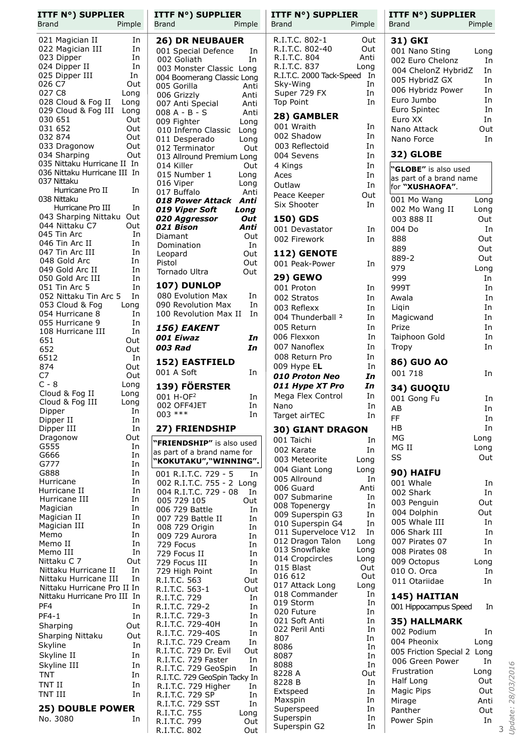| <b>ITTF N°) SUPPLIER</b>                           | <b>ITTF N°) SUPPLIER</b>                                    | <b>ITTF N°) SUPPLIER</b>                   | <b>ITTF N°) SUPPLIER</b>    |
|----------------------------------------------------|-------------------------------------------------------------|--------------------------------------------|-----------------------------|
| Pimple                                             | Brand                                                       | Brand                                      | Brand                       |
| Brand                                              | Pimple                                                      | Pimple                                     | Pimple                      |
| 021 Magician II<br>In                              | <b>26) DR NEUBAUER</b>                                      | R.I.T.C. 802-1<br>Out                      | 31) GKI                     |
| 022 Magician III                                   | 001 Special Defence                                         | R.I.T.C. 802-40                            | 001 Nano Sting              |
| In                                                 | In                                                          | Out                                        | Long                        |
| 023 Dipper                                         | 002 Goliath                                                 | R.I.T.C. 804                               | 002 Euro Chelonz            |
| In                                                 | In                                                          | Anti                                       | In                          |
| 024 Dipper II                                      | 003 Monster Classic Long                                    | R.I.T.C. 837                               | 004 ChelonZ HybridZ         |
| In                                                 |                                                             | Long                                       | In                          |
| 025 Dipper III<br>In                               | 004 Boomerang Classic Long                                  | R.I.T.C. 2000 Tack-Speed In                | 005 HybridZ GX<br>In        |
| 026 C7<br>Out<br>027 C8<br>Long                    | 005 Gorilla<br>Anti                                         | Sky-Wing<br>In<br>Super 729 FX<br>In       | 006 Hybridz Power<br>In     |
| 028 Cloud & Fog II<br>Long                         | 006 Grizzly<br>Anti<br>Anti                                 | Top Point<br>In                            | Euro Jumbo<br>In            |
| 029 Cloud & Fog III<br>Long                        | 007 Anti Special<br>$008A - B - S$<br>Anti                  |                                            | In<br>Euro Spintec          |
| 030 651                                            | 009 Fighter                                                 | 28) GAMBLER                                | Euro XX                     |
| Out                                                | Long                                                        |                                            | In                          |
| 031 652                                            | 010 Inferno Classic                                         | 001 Wraith                                 | Out                         |
| Out                                                | Long                                                        | In                                         | Nano Attack                 |
| 032 874                                            | 011 Desperado                                               | 002 Shadow                                 | In                          |
| Out                                                | Long                                                        | In                                         | Nano Force                  |
| 033 Dragonow                                       | 012 Terminator                                              | 003 Reflectoid                             | 32) GLOBE                   |
| Out                                                | Out                                                         | In                                         |                             |
| 034 Sharping<br>Out<br>035 Nittaku Hurricane II In | 013 Allround Premium Long                                   | 004 Sevens<br>In                           |                             |
| 036 Nittaku Hurricane III In                       | 014 Killer<br>Out<br>015 Number 1<br>Long                   | In<br>4 Kings                              | "GLOBE" is also used        |
| 037 Nittaku                                        | 016 Viper<br>Long                                           | Aces<br>In<br>Outlaw<br>In                 | as part of a brand name     |
| Hurricane Pro II                                   | 017 Buffalo                                                 | Peace Keeper                               | for "XUSHAOFA".             |
| In                                                 | Anti                                                        | Out                                        |                             |
| 038 Nittaku                                        | 018 Power Attack Anti                                       | Six Shooter<br>In                          | 001 Mo Wang<br>Long         |
| Hurricane Pro III                                  | 019 Viper Soft                                              |                                            | 002 Mo Wang II              |
| In                                                 | Long                                                        |                                            | Long                        |
| 043 Sharping Nittaku Out<br>044 Nittaku C7<br>Out  | 020 Aggressor<br>Out                                        | 150) GDS                                   | 003 888 II<br>Out           |
| 045 Tin Arc                                        | 021 Bison                                                   | 001 Devastator                             | 004 Do                      |
| In                                                 | Anti                                                        | In                                         | In                          |
| 046 Tin Arc II<br>In                               | Diamant<br>Out<br>In<br>Domination                          | 002 Firework<br>In                         | 888<br>Out                  |
| 047 Tin Arc III                                    | Out                                                         | 112) GENOTE                                | 889                         |
| In                                                 | Leopard                                                     |                                            | Out                         |
| 048 Gold Arc                                       | Pistol                                                      | 001 Peak-Power                             | 889-2                       |
| In                                                 | Out                                                         | In                                         | Out                         |
| 049 Gold Arc II                                    | Out                                                         |                                            | 979                         |
| In                                                 | Tornado Ultra                                               |                                            | Long                        |
| In<br>050 Gold Arc III                             |                                                             | <b>29) GEWO</b>                            | 999<br>In                   |
| 051 Tin Arc 5                                      | 107) DUNLOP                                                 | 001 Proton                                 | 999T                        |
| In                                                 |                                                             | In                                         | In                          |
| 052 Nittaku Tin Arc 5<br>In                        | 080 Evolution Max<br>In<br>090 Revolution Max<br>In         | 002 Stratos<br>In                          | Awala<br>In                 |
| 053 Cloud & Fog<br>Long<br>054 Hurricane 8<br>In   | 100 Revolution Max II<br>In                                 | 003 Reflexx<br>In                          | Ligin<br>In                 |
| 055 Hurricane 9                                    |                                                             | 004 Thunderball <sup>2</sup>               | Magicwand                   |
| In                                                 |                                                             | In                                         | In                          |
| 108 Hurricane III                                  | 156) EAKENT                                                 | 005 Return                                 | Prize                       |
| In                                                 |                                                             | In                                         | In                          |
| 651                                                | 001 Eiwaz                                                   | 006 Flexxon                                | Taiphoon Gold               |
| Out                                                | In                                                          | In                                         | In                          |
| 652                                                | 003 Rad                                                     | 007 Nanoflex                               | <b>Tropy</b>                |
| Out                                                | In                                                          | In                                         | In                          |
| 6512<br>In                                         | 152) EASTFIELD                                              | 008 Return Pro<br>In                       | <b>86) GUO AO</b>           |
| 874<br>Out<br>C7                                   | $001A$ Soft<br>In                                           | 009 Hype EL<br>In                          | 001 718<br>In               |
| Out<br>$C - 8$<br>Long                             |                                                             | 010 Proton Neo<br>In                       |                             |
| Cloud & Fog II<br>Long                             | 139) FÖERSTER                                               | In<br>011 Hype XT Pro<br>Mega Flex Control | 34) GUOQIU                  |
| Cloud & Fog III<br>Long                            | 001 H-OF2<br>In<br>002 OFF4JET<br>In                        | In<br>In<br>Nano                           | 001 Gong Fu<br>In           |
| In                                                 | $003$ ***                                                   | Target airTEC                              | AB                          |
| Dipper                                             | In                                                          | In                                         | In                          |
| In<br>Dipper II                                    |                                                             |                                            | FF<br>In                    |
| In<br>Dipper III                                   | 27) FRIENDSHIP                                              | <b>30) GIANT DRAGON</b>                    | HB<br>In                    |
| Dragonow<br>Out<br>G555<br>In                      | "FRIENDSHIP" is also used                                   | 001 Taichi<br>In                           | МG<br>Long                  |
| G666                                               | as part of a brand name for                                 | 002 Karate                                 | MG II                       |
| In                                                 |                                                             | In                                         | Long                        |
| G777                                               | "KOKUTAKU", "WINNING".                                      | 003 Meteorite                              | SS                          |
| In                                                 |                                                             | Long                                       | Out                         |
| G888                                               | 001 R.I.T.C. 729 - 5                                        | 004 Giant Long                             | 90) HAIFU                   |
| In                                                 | In                                                          | Long                                       |                             |
| Hurricane                                          | 002 R.I.T.C. 755 - 2 Long                                   | 005 Allround                               | 001 Whale                   |
| In                                                 |                                                             | In                                         | In                          |
| Hurricane II<br>In                                 | 004 R.I.T.C. 729 - 08<br>In                                 | 006 Guard<br>Anti<br>007 Submarine         | 002 Shark<br>In             |
| Hurricane III<br>In                                | 005 729 105<br>Out                                          | In<br>008 Topenergy<br>In                  | Out<br>003 Penguin          |
| Magician                                           | 006 729 Battle                                              | 009 Superspin G3                           | 004 Dolphin                 |
| In                                                 | In                                                          | In                                         | Out                         |
| Magician II<br>In<br>Magician III<br>In            | 007 729 Battle II<br>In                                     | 010 Superspin G4<br>In                     | 005 Whale III<br>In         |
| Memo<br>In                                         | 008 729 Origin<br>In<br>009 729 Aurora<br>In                | 011 Superveloce V12<br>In                  | 006 Shark III<br>In         |
| Memo II                                            | 729 Focus                                                   | 012 Dragon Talon                           | 007 Pirates 07              |
| In                                                 | In                                                          | Long                                       | In                          |
| In                                                 | 729 Focus II                                                | 013 Snowflake                              | In                          |
| Memo III                                           | In                                                          | Long                                       | 008 Pirates 08              |
| Nittaku C 7                                        | 729 Focus III                                               | 014 Cropcircles                            | 009 Octopus                 |
| Out                                                | In                                                          | Long                                       | Long                        |
| Nittaku Hurricane II<br>In                         | 729 High Point<br>In                                        | 015 Blast<br>Out<br>016 612<br>Out         | 010 O. Orca<br>In           |
| Nittaku Hurricane III                              | R.I.T.C. 563                                                | 017 Attack Long                            | In                          |
| In                                                 | Out                                                         | Long                                       | 011 Otariidae               |
| Nittaku Hurricane Pro II In                        | R.I.T.C. 563-1                                              | 018 Commander                              | 145) HAITIAN                |
| Nittaku Hurricane Pro III In                       | Out                                                         | In                                         |                             |
| PF4<br>In                                          | R.I.T.C. 729<br>In<br>R.I.T.C. 729-2<br>In                  | 019 Storm<br>In                            | 001 Hippocampus Speed<br>In |
| <b>PF4-1</b>                                       | R.I.T.C. 729-3                                              | 020 Future                                 |                             |
| In                                                 | In                                                          | In                                         |                             |
| Out                                                | R.I.T.C. 729-40H                                            | 021 Soft Anti                              | 35) HALLMARK                |
| Sharping                                           | In                                                          | In                                         |                             |
| Out                                                | R.I.T.C. 729-40S                                            | 022 Peril Anti                             | 002 Podium                  |
| Sharping Nittaku                                   | In                                                          | In                                         | In                          |
| In<br>Skyline                                      | R.I.T.C. 729 Cream<br>In                                    | 807<br>In<br>8086<br>In                    | 004 Pheonix<br>Long         |
| Skyline II                                         | R.I.T.C. 729 Dr. Evil                                       | 8087                                       | 005 Friction Special 2 Long |
| In                                                 | Out                                                         | In                                         |                             |
| Skyline III                                        | R.I.T.C. 729 Faster                                         | 8088                                       | 006 Green Power             |
| In                                                 | In                                                          | In                                         | In                          |
| TNT<br>In                                          | R.I.T.C. 729 GeoSpin<br>In<br>R.I.T.C. 729 GeoSpin Tacky In | 8228 A<br>Out                              | Frustration<br>Long         |
| TNT II                                             | R.I.T.C. 729 Higher                                         | 8228 B                                     | Out                         |
| In                                                 | In                                                          | In                                         | Half Long                   |
| TNT III                                            | R.I.T.C. 729 SP                                             | Extspeed                                   | Magic Pips                  |
| In                                                 | In                                                          | In                                         | Out                         |
| <b>25) DOUBLE POWER</b>                            | R.I.T.C. 729 SST<br>In                                      | Maxspin<br>In<br>In                        | Mirage<br>Anti              |
| No. 3080<br>In                                     | R.I.T.C. 755<br>Long                                        | Superspeed<br>Superspin<br>In              | Panther<br>Out              |
|                                                    | R.I.T.C. 799                                                | Superspin G2                               | Power Spin                  |
|                                                    | Out                                                         | In                                         | In                          |
|                                                    | Out<br>R.I.T.C. 802                                         |                                            |                             |

**u**<br>Update: 28/03/2016 *Update: 28/03/2016*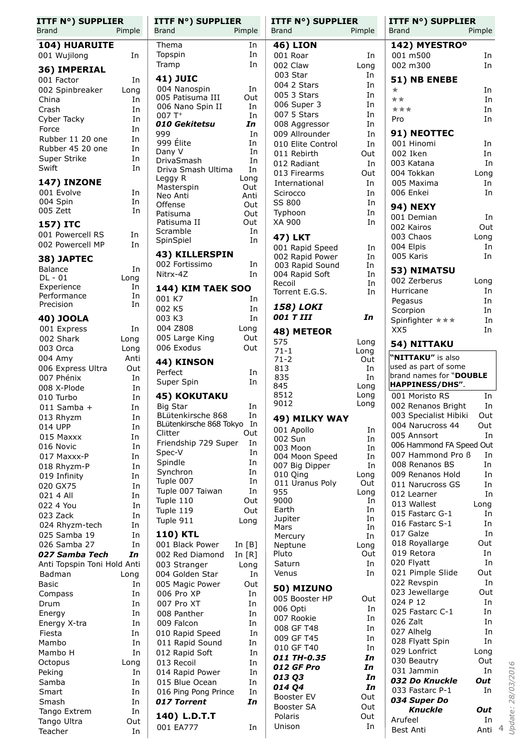| <b>ITTF N°) SUPPLIER</b><br><b>Brand</b><br>Pimple |             | <b>ITTF N°) SUPPLIER</b><br><b>Brand</b><br>Pimple |                      | <b>ITTF N°) SUPPLIER</b><br>Pimple<br>Brand |             | <b>ITTF N°) SUPPLIER</b><br><b>Brand</b><br>Pimple |            |
|----------------------------------------------------|-------------|----------------------------------------------------|----------------------|---------------------------------------------|-------------|----------------------------------------------------|------------|
| 104) HUARUITE                                      |             | Thema                                              | In                   | <b>46) LION</b>                             |             | 142) MYESTRO <sup>o</sup>                          |            |
| 001 Wujilong                                       | In          | Topspin                                            | In                   | 001 Roar                                    | In          | 001 m500                                           | In         |
| 36) IMPERIAL                                       |             | Tramp                                              | In                   | 002 Claw                                    | Long        | 002 m300                                           | In         |
| 001 Factor                                         | In          | <b>41) JUIC</b>                                    |                      | 003 Star                                    | In          | 51) NB ENEBE                                       |            |
| 002 Spinbreaker                                    | Long        | 004 Nanospin                                       | In                   | 004 2 Stars                                 | In          | $\star$                                            | In         |
| China                                              | In          | 005 Patisuma III                                   | Out                  | 005 3 Stars                                 | In          | **                                                 | In         |
| Crash                                              | In          | 006 Nano Spin II<br>$007T+$                        | In                   | 006 Super 3<br>007 5 Stars                  | In<br>In    | ***                                                | In         |
| Cyber Tacky                                        | In          | 010 Gekitetsu                                      | In<br>In             | 008 Aggressor                               | In          | Pro                                                | In         |
| Force                                              | In          | 999                                                | In                   | 009 Allrounder                              | In          | 91) NEOTTEC                                        |            |
| Rubber 11 20 one                                   | In          | 999 Élite                                          | In                   | 010 Elite Control                           | In          | 001 Hinomi                                         | In         |
| Rubber 45 20 one<br>Super Strike                   | In<br>In    | Dany V                                             | In                   | 011 Rebirth                                 | Out         | 002 Iken                                           | In         |
| Swift                                              | In          | DrivaSmash<br>Driva Smash Ultima                   | In<br>In             | 012 Radiant                                 | In          | 003 Katana                                         | In         |
|                                                    |             | Leggy R                                            | Long                 | 013 Firearms                                | Out         | 004 Tokkan                                         | Long       |
| <b>147) INZONE</b><br>001 Evolve                   | In          | Masterspin                                         | Out                  | International                               | In          | 005 Maxima<br>006 Enkei                            | In<br>In   |
| 004 Spin                                           | In          | Neo Anti                                           | Anti                 | Scirocco<br>SS 800                          | In<br>In    |                                                    |            |
| 005 Zett                                           | In          | Offense<br>Patisuma                                | Out<br>Out           | Typhoon                                     | In          | <b>94) NEXY</b>                                    |            |
| 157) ITC                                           |             | Patisuma II                                        | Out                  | XA 900                                      | In          | 001 Demian                                         | In         |
| 001 Powercell RS                                   | In          | Scramble                                           | In                   |                                             |             | 002 Kairos                                         | Out        |
| 002 Powercell MP                                   | In          | SpinSpiel                                          | In                   | 47) LKT                                     |             | 003 Chaos<br>004 Elpis                             | Long<br>In |
|                                                    |             | 43) KILLERSPIN                                     |                      | 001 Rapid Speed<br>002 Rapid Power          | In<br>In    | 005 Karis                                          | In         |
| 38) JAPTEC<br><b>Balance</b>                       | In          | 002 Fortissimo                                     | In                   | 003 Rapid Sound                             | In          |                                                    |            |
| DL - 01                                            | Long        | Nitrx-4Z                                           | In                   | 004 Rapid Soft                              | In          | 53) NIMATSU                                        |            |
| Experience                                         | In          | <b>144) KIM TAEK SOO</b>                           |                      | Recoil                                      | In          | 002 Zerberus<br>Hurricane                          | Long<br>In |
| Performance                                        | In          | 001 K7                                             | In                   | Torrent E.G.S.                              | In          | Pegasus                                            | In         |
| Precision                                          | In          | 002 K5                                             | In                   | 158) LOKI                                   |             | Scorpion                                           | In         |
| 40) JOOLA                                          |             | 003 K3                                             | In                   | 001 T III                                   | In          | Spinfighter ***                                    | In         |
| 001 Express                                        | In          | 004 Z808                                           | Long                 | 48) METEOR                                  |             | XX5                                                | In         |
| 002 Shark                                          | Long        | 005 Large King                                     | Out                  | 575                                         | Long        | 54) NITTAKU                                        |            |
| 003 Orca                                           | Long        | 006 Exodus                                         | Out                  | $71 - 1$                                    | Long        |                                                    |            |
| 004 Amy<br>006 Express Ultra                       | Anti<br>Out | 44) KINSON                                         |                      | $71 - 2$<br>813                             | Out<br>In   | "NITTAKU" is also<br>used as part of some          |            |
| 007 Phénix                                         | In          | Perfect                                            | In                   | 835                                         | In          | brand names for "DOUBLE                            |            |
| 008 X-Plode                                        | In          | Super Spin                                         | In                   | 845                                         | Long        | HAPPINESS/DHS".                                    |            |
| 010 Turbo                                          | In          | <b>45) KOKUTAKU</b>                                |                      | 8512                                        | Long        | 001 Moristo RS                                     | In         |
| $011$ Samba +                                      | In          | <b>Big Star</b>                                    | In                   | 9012                                        | Long        | 002 Renanos Bright                                 | In         |
| 013 Rhyzm                                          | In          | BLütenkirsche 868                                  | In                   | 49) MILKY WAY                               |             | 003 Specialist Hibiki                              | Out        |
| 014 UPP                                            | In          | BLütenkirsche 868 Tokyo<br>Clitter                 | In<br>Out            | 001 Apollo                                  | In          | 004 Narucross 44                                   | Out        |
| 015 Maxxx                                          | In          | Friendship 729 Super                               | In                   | 002 Sun                                     | In          | 005 Annsort<br>006 Hammond FA Speed Out            | In         |
| 016 Novic<br>017 Maxxx-P                           | In<br>In    | Spec-V                                             | In                   | 003 Moon<br>004 Moon Speed                  | In<br>In    | 007 Hammond Pro B                                  | In         |
| 018 Rhyzm-P                                        | In          | Spindle                                            | In                   | 007 Big Dipper                              | In          | 008 Renanos BS                                     | In         |
| 019 Infinity                                       | In          | Synchron                                           | In                   | 010 Qing                                    | Long        | 009 Renanos Hold                                   | In         |
| 020 GX75                                           | In          | Tuple 007                                          | In                   | 011 Uranus Poly                             | Out         | 011 Narucross GS                                   | In         |
| 021 4 All                                          | In          | Tuple 007 Taiwan                                   | In<br>Out            | 955<br>9000                                 | Long        | 012 Learner                                        | In         |
| 022 4 You                                          | In          | Tuple 110<br>Tuple 119                             | Out                  | Earth                                       | In<br>In    | 013 Wallest                                        | Long       |
| 023 Zack                                           | In          | Tuple 911                                          | Long                 | Jupiter                                     | In          | 015 Fastarc G-1                                    | In         |
| 024 Rhyzm-tech                                     | In          |                                                    |                      | Mars                                        | In          | 016 Fastarc S-1                                    | In         |
| 025 Samba 19<br>026 Samba 27                       | In<br>In    | <b>110) KTL</b>                                    |                      | Mercury                                     | In          | 017 Galze<br>018 Royallarge                        | In<br>Out  |
| 027 Samba Tech                                     | In          | 001 Black Power<br>002 Red Diamond                 | In $[B]$<br>In $[R]$ | Neptune<br>Pluto                            | Long<br>Out | 019 Retora                                         | In         |
| Anti Topspin Toni Hold Anti                        |             | 003 Stranger                                       | Long                 | Saturn                                      | In          | 020 Flyatt                                         | In         |
| Badman                                             | Long        | 004 Golden Star                                    | In                   | Venus                                       | In          | 021 Pimple Slide                                   | Out        |
| <b>Basic</b>                                       | In          | 005 Magic Power                                    | Out                  | 50) MIZUNO                                  |             | 022 Revspin                                        | In         |
| Compass                                            | In          | 006 Pro XP                                         | In                   | 005 Booster HP                              | Out         | 023 Jewellarge                                     | Out        |
| Drum                                               | In          | 007 Pro XT                                         | In                   | 006 Opti                                    | In          | 024 P 12                                           | In         |
| Energy                                             | In          | 008 Panther                                        | In                   | 007 Rookie                                  | In          | 025 Fastarc C-1<br>026 Zalt                        | In<br>In   |
| Energy X-tra                                       | In          | 009 Falcon                                         | In                   | 008 GF T48                                  | In          | 027 Alhelg                                         | In         |
| Fiesta<br>Mambo                                    | In<br>In    | 010 Rapid Speed<br>011 Rapid Sound                 | In<br>In             | 009 GF T45                                  | In          | 028 Flyatt Spin                                    | In         |
| Mambo H                                            | In          | 012 Rapid Soft                                     | In                   | 010 GF T40                                  | In          | 029 Lonfrict                                       | Long       |
| Octopus                                            | Long        | 013 Recoil                                         | In                   | 011 TH-0.35                                 | In          | 030 Beautry                                        | Out        |
| Peking                                             | In          | 014 Rapid Power                                    | In                   | 012 GF Pro                                  | In          | 031 Jammin                                         | In         |
| Samba                                              | In          | 015 Blue Ocean                                     | In                   | 013 Q3<br>014 Q4                            | In<br>In    | 032 Do Knuckle                                     | Out        |
| Smart                                              | In          | 016 Ping Pong Prince                               | In                   | Booster EV                                  | Out         | 033 Fastarc P-1                                    | In         |
| Smash                                              | In          | 017 Torrent                                        | In                   | Booster SA                                  | Out         | 034 Super Do                                       |            |
| Tango Extrem                                       | In          | 140) L.D.T.T                                       |                      | Polaris                                     | Out         | <b>Knuckle</b><br>Arufeel                          | Out<br>In  |
| Tango Ultra<br>Teacher                             | Out<br>In   | 001 EA777                                          | In                   | Unison                                      | In          | Best Anti                                          | Anti 4     |
|                                                    |             |                                                    |                      |                                             |             |                                                    |            |

*Update: 28/03/2016*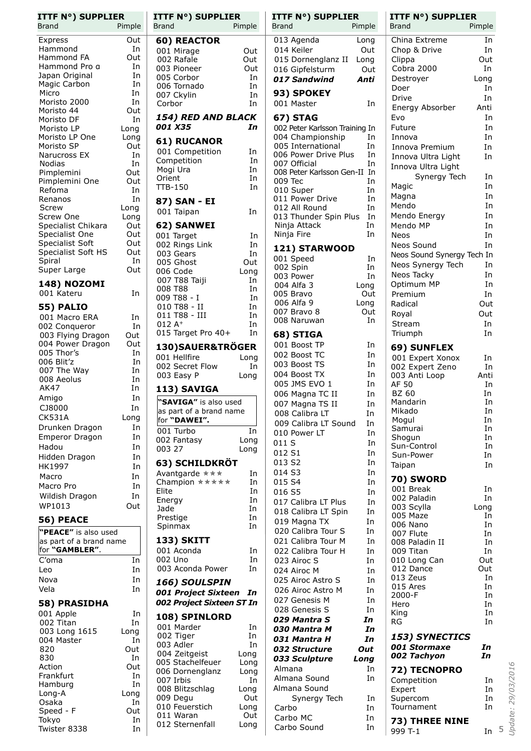| <b>ITTF N°) SUPPLIER</b>         |           | <b>ITTF N°) SUPPLIER</b>          |              | <b>ITTF N°) SUPPLIER</b>             |          | <b>ITTF N°) SUPPLIER</b>   |                     |
|----------------------------------|-----------|-----------------------------------|--------------|--------------------------------------|----------|----------------------------|---------------------|
| Brand                            | Pimple    | Brand                             | Pimple       | <b>Brand</b>                         | Pimple   | <b>Brand</b>               | Pimple              |
| Express                          | Out       | 60) REACTOR                       |              | 013 Agenda                           | Long     | China Extreme              | In                  |
| Hammond                          | In        | 001 Mirage                        | Out          | 014 Keiler                           | Out      | Chop & Drive               | In                  |
| Hammond FA                       | Out       | 002 Rafale                        | Out          | 015 Dornenglanz II                   | Long     | Clippa                     | Out                 |
| Hammond Pro a<br>Japan Original  | In<br>In  | 003 Pioneer                       | Out          | 016 Gipfelsturm                      | Out      | Cobra 2000                 | In                  |
| Magic Carbon                     | In        | 005 Corbor                        | In           | 017 Sandwind                         | Anti     | Destroyer                  | Long                |
| Micro                            | In        | 006 Tornado<br>007 Ckylin         | In<br>In     | 93) SPOKEY                           |          | Doer                       | In                  |
| Moristo 2000                     | In        | Corbor                            | In           | 001 Master                           | In       | Drive                      | In                  |
| Moristo 44                       | Out       |                                   |              |                                      |          | Energy Absorber            | Anti                |
| Moristo DF                       | In        | 154) RED AND BLACK                |              | <b>67) STAG</b>                      |          | Evo                        | In                  |
| Moristo LP                       | Long      | 001 X35                           | In           | 002 Peter Karlsson Training In       |          | Future                     | In                  |
| Moristo LP One                   | Long      | 61) RUCANOR                       |              | 004 Championship                     | In       | Innova                     | In                  |
| Moristo SP                       | Out       | 001 Competition                   | In           | 005 International                    | In       | Innova Premium             | In                  |
| Narucross EX<br><b>Nodias</b>    | In<br>In  | Competition                       | In           | 006 Power Drive Plus<br>007 Official | In<br>In | Innova Ultra Light         | In                  |
| Pimplemini                       | Out       | Mogi Ura                          | In           | 008 Peter Karlsson Gen-II In         |          | Innova Ultra Light         |                     |
| Pimplemini One                   | Out       | Orient                            | In           | 009 Tec                              | In       | Synergy Tech               | In                  |
| Refoma                           | In        | <b>TTB-150</b>                    | In           | 010 Super                            | In       | Magic                      | In                  |
| Renanos                          | In        | 87) SAN - EI                      |              | 011 Power Drive                      | In       | Magna                      | In                  |
| Screw                            | Long      | 001 Taipan                        | In           | 012 All Round                        | In       | Mendo                      | In                  |
| Screw One                        | Long      |                                   |              | 013 Thunder Spin Plus                | In       | Mendo Energy               | In                  |
| Specialist Chikara               | Out       | 62) SANWEI                        |              | Ninja Attack                         | In       | Mendo MP                   | In                  |
| Specialist One                   | Out       | 001 Target                        | In           | Ninja Fire                           | In       | Neos                       | In                  |
| Specialist Soft                  | Out       | 002 Rings Link                    | In           | 121) STARWOOD                        |          | Neos Sound                 | In                  |
| Specialist Soft HS               | Out<br>In | 003 Gears                         | In           | 001 Speed                            | In       | Neos Sound Synergy Tech In |                     |
| Spiral<br>Super Large            | Out       | 005 Ghost                         | Out          | 002 Spin                             | In       | Neos Synergy Tech          | In                  |
|                                  |           | 006 Code<br>007 T88 Taiji         | Long<br>In   | 003 Power                            | In       | Neos Tacky                 | In                  |
| <b>148) NOZOMI</b>               |           | 008 T88                           | In           | 004 Alfa 3                           | Long     | Optimum MP                 | In                  |
| 001 Kateru                       | In        | 009 T88 - I                       | In           | 005 Bravo                            | Out      | Premium                    | In                  |
| <b>55) PALIO</b>                 |           | 010 T88 - II                      | In           | 006 Alfa 9                           | Long     | Radical                    | Out                 |
| 001 Macro ERA                    | In        | 011 T88 - III                     | In           | 007 Bravo 8                          | Out      | Royal                      | Out                 |
| 002 Conqueror                    | In        | $012A+$                           | In           | 008 Naruwan                          | In       | Stream                     | In                  |
| 003 Flying Dragon                | Out       | 015 Target Pro 40+                | In           | 68) STIGA                            |          | Triumph                    | In                  |
| 004 Power Dragon                 | Out       | 130) SAUER&TRÖGER                 |              | 001 Boost TP                         | In       | 69) SUNFLEX                |                     |
| 005 Thor's                       | In        | 001 Hellfire                      | Long         | 002 Boost TC                         | In       | 001 Expert Xonox           | In                  |
| 006 Blit'z                       | In        | 002 Secret Flow                   | In           | 003 Boost TS                         | In       | 002 Expert Zeno            | In                  |
| 007 The Way                      | In        | 003 Easy P                        | Long         | 004 Boost TX                         | In       | 003 Anti Loop              | Anti                |
| 008 Aeolus<br><b>AK47</b>        | In        |                                   |              | 005 JMS EVO 1                        | In       | AF 50                      | In                  |
|                                  | In<br>In  | 113) SAVIGA                       |              | 006 Magna TC II                      | In       | <b>BZ 60</b>               | In                  |
| Amigo                            |           | "SAVIGA" is also used             |              | 007 Magna TS II                      | In       | Mandarin                   | In                  |
| CJ8000<br><b>CK531A</b>          | In        | as part of a brand name           |              | 008 Calibra LT                       | In       | Mikado                     | In                  |
|                                  | Long      | for "DAWEI".                      |              | 009 Calibra LT Sound                 | In       | Mogul                      | In                  |
| Drunken Dragon<br>Emperor Dragon | In<br>In  | 001 Turbo                         | In           | 010 Power LT                         | In       | Samurai                    | In                  |
| Hadou                            | In        | 002 Fantasy                       | Long         | 011 S                                | In       | Shogun<br>Sun-Control      | In<br>In            |
| Hidden Dragon                    | In        | 003 27                            | Long         | 012 S1                               | In       | Sun-Power                  | In                  |
|                                  | In        | 63) SCHILDKRÖT                    |              | 013 S2                               | In       | Taipan                     | In                  |
| HK1997                           | In        | Avantgarde ***                    | In           | 014 S3                               | In       |                            |                     |
| Macro                            |           | Champion *****                    | In           | 015 S4                               | In       | 70) SWORD                  |                     |
| Macro Pro                        | In<br>In  | Elite                             | In           | 016 S5                               | In       | 001 Break                  | In                  |
| Wildish Dragon                   |           | Energy                            | In           | 017 Calibra LT Plus                  | In       | 002 Paladin                | In                  |
| WP1013                           | Out       | Jade                              | In           | 018 Calibra LT Spin                  | In       | 003 Scylla                 | Long                |
| 56) PEACE                        |           | Prestige                          | In           | 019 Magna TX                         | In       | 005 Maze<br>006 Nano       | In<br>In            |
| "PEACE" is also used             |           | Spinmax                           | In           | 020 Calibra Tour S                   | In       | 007 Flute                  | In                  |
| as part of a brand name          |           | <b>133) SKITT</b>                 |              | 021 Calibra Tour M                   | In       | 008 Paladin II             | In                  |
| for "GAMBLER".                   |           | 001 Aconda                        | In           | 022 Calibra Tour H                   | In       | 009 Titan                  | In                  |
| C'oma                            | In        | 002 Uno                           | In           | 023 Airoc S                          | In       | 010 Long Can               | Out                 |
| Leo                              | In        | 003 Aconda Power                  | In           | 024 Airoc M                          | In       | 012 Dance                  | Out                 |
| Nova                             | In        | 166) SOULSPIN                     |              | 025 Airoc Astro S                    | In       | 013 Zeus                   | In                  |
| Vela                             | In        | 001 Project Sixteen In            |              | 026 Airoc Astro M                    | In       | 015 Ares                   | In                  |
| 58) PRASIDHA                     |           | 002 Project Sixteen ST In         |              | 027 Genesis M                        | In       | 2000-F                     | In                  |
| 001 Apple                        | In        |                                   |              | 028 Genesis S                        | In       | Hero<br>King               | In<br>In            |
| 002 Titan                        | In        | 108) SPINLORD                     |              | 029 Mantra S                         | In       | RG                         | In                  |
| 003 Long 1615                    | Long      | 001 Marder                        | In           | 030 Mantra M                         | In       |                            |                     |
| 004 Master                       | In        | 002 Tiger                         | In           | 031 Mantra H                         | In       | 153) SYNECTICS             |                     |
| 820                              | Out       | 003 Adler                         | In           | 032 Structure                        | Out      | 001 Stormaxe               | In                  |
| 830                              | In        | 004 Zeitgeist<br>005 Stachelfeuer | Long         | 033 Sculpture                        | Long     | 002 Tachyon                | In                  |
| Action                           | Out       | 006 Dornenglanz                   | Long<br>Long | Almana                               | In       | 72) TECNOPRO               | 29/03/2016          |
| Frankfurt                        | In        | 007 Irbis                         | In           | Almana Sound                         | In       | Competition                | In                  |
| Hamburg                          | In        | 008 Blitzschlag                   | Long         | Almana Sound                         |          | Expert                     | In                  |
| Long-A                           | Long      | 009 Degu                          | Out          | Synergy Tech                         | In       | Supercom                   | In                  |
| Osaka                            | In        | 010 Feuerstich                    | Long         | Carbo                                | In       | Tournament                 | In                  |
| Speed - F<br>Tokyo               | Out<br>In | 011 Waran                         | Out          | Carbo MC                             | In       |                            |                     |
| Twister 8338                     | In        | 012 Sternenfall                   | Long         | Carbo Sound                          | In       | 73) THREE NINE<br>999 T-1  | <b>Update:</b><br>5 |
|                                  |           |                                   |              |                                      |          |                            | In                  |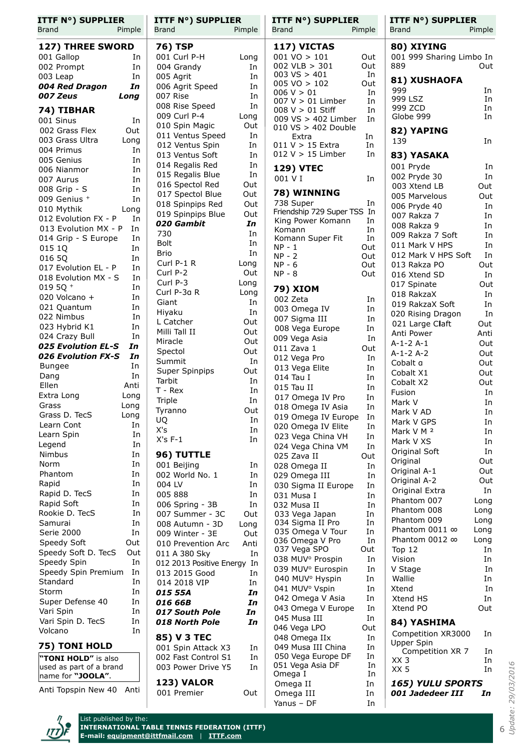| <b>ITTF N°) SUPPLIER</b><br><b>Brand</b><br>Pimple | <b>ITTF N°) SUPPLIER</b><br><b>Brand</b> | Pimple      | <b>ITTF N°) SUPPLIER</b><br><b>Brand</b>       | Pimple    | <b>ITTF N°) SUPPLIER</b><br>Pimple<br><b>Brand</b> |              |  |
|----------------------------------------------------|------------------------------------------|-------------|------------------------------------------------|-----------|----------------------------------------------------|--------------|--|
| 127) THREE SWORD                                   | 76) TSP                                  |             | 117) VICTAS                                    |           | 80) XIYING                                         |              |  |
| 001 Gallop<br>In                                   | 001 Curl P-H                             | Long        | $001 \text{ VO} > 101$                         | Out       | 001 999 Sharing Limbo In                           |              |  |
| 002 Prompt<br>In                                   | 004 Grandy                               | In          | $002$ VLB $> 301$                              | Out       | 889                                                | Out          |  |
| 003 Leap<br>In                                     | 005 Agrit                                | In          | $003$ VS $> 401$<br>$005 \text{ VO} > 102$     | In<br>Out | 81) XUSHAOFA                                       |              |  |
| In<br>004 Red Dragon                               | 006 Agrit Speed                          | In          | 006 V > 01                                     | In        | 999                                                | In           |  |
| 007 Zeus<br>Long                                   | 007 Rise                                 | In          | 007 V > 01 Limber                              | In        | 999 LSZ                                            | In           |  |
| 74) TIBHAR                                         | 008 Rise Speed<br>009 Curl P-4           | In          | $008 V > 01$ Stiff                             | In        | 999 ZCD                                            | In           |  |
| 001 Sinus<br>In                                    | 010 Spin Magic                           | Long<br>Out | 009 VS > 402 Limber                            | In        | Globe 999                                          | In           |  |
| 002 Grass Flex<br>Out                              | 011 Ventus Speed                         | In          | $010\ \text{VS} > 402\ \text{Double}$<br>Extra | In        | 82) YAPING                                         |              |  |
| 003 Grass Ultra<br>Long                            | 012 Ventus Spin                          | In          | $011 V > 15$ Extra                             | In        | 139                                                | In           |  |
| 004 Primus<br>In                                   | 013 Ventus Soft                          | In          | $012 V > 15$ Limber                            | In        | 83) YASAKA                                         |              |  |
| 005 Genius<br>In                                   | 014 Regalis Red                          | In          |                                                |           | 001 Pryde                                          | In           |  |
| In<br>006 Nianmor                                  | 015 Regalis Blue                         | In          | <b>129) VTEC</b><br>001 V I                    | In        | 002 Pryde 30                                       | In           |  |
| 007 Aurus<br>In                                    | 016 Spectol Red                          | Out         |                                                |           | 003 Xtend LB                                       | Out          |  |
| In<br>008 Grip - S<br>009 Genius +<br>In           | 017 Spectol Blue                         | Out         | 78) WINNING                                    |           | 005 Marvelous                                      | Out          |  |
| 010 Mythik<br>Long                                 | 018 Spinpips Red                         | Out         | 738 Super                                      | In        | 006 Pryde 40                                       | In           |  |
| 012 Evolution FX - P<br>In                         | 019 Spinpips Blue                        | Out         | Friendship 729 Super TSS In                    |           | 007 Rakza 7                                        | In           |  |
| 013 Evolution MX - P<br>In                         | 020 Gambit                               | In          | King Power Komann<br>Komann                    | In<br>In  | 008 Rakza 9                                        | In           |  |
| 014 Grip - S Europe<br>In                          | 730                                      | In          | Komann Super Fit                               | In        | 009 Rakza 7 Soft                                   | In           |  |
| 015 1Q<br>In                                       | <b>Bolt</b>                              | In          | $NP - 1$                                       | Out       | 011 Mark V HPS                                     | In           |  |
| 016 5Q<br>In                                       | <b>Brio</b>                              | In          | $NP - 2$                                       | Out       | 012 Mark V HPS Soft                                | In           |  |
| 017 Evolution EL - P<br>In                         | Curl P-1 R                               | Long        | $NP - 6$                                       | Out       | 013 Rakza PO                                       | Out          |  |
| 018 Evolution MX - S<br>In                         | Curl P-2                                 | Out         | $NP - 8$                                       | Out       | 016 Xtend SD                                       | In           |  |
| 019 5Q $+$<br>In                                   | Curl P-3                                 | Long        | 79) XIOM                                       |           | 017 Spinate                                        | Out          |  |
| 020 Volcano +<br>In                                | Curl P-3a R<br>Giant                     | Long<br>In  | 002 Zeta                                       | In        | 018 RakzaX                                         | In           |  |
| 021 Quantum<br>In                                  | Hiyaku                                   | In          | 003 Omega IV                                   | In        | 019 RakzaX Soft                                    | In           |  |
| 022 Nimbus<br>In                                   | L Catcher                                | Out         | 007 Sigma III                                  | In        | 020 Rising Dragon                                  | In           |  |
| 023 Hybrid K1<br>In                                | Milli Tall II                            | Out         | 008 Vega Europe                                | In        | 021 Large Claft<br>Anti Power                      | Out<br>Anti  |  |
| 024 Crazy Bull<br>In                               | Miracle                                  | Out         | 009 Vega Asia                                  | In        | $A-1-2A-1$                                         | Out          |  |
| 025 Evolution EL-S<br>In                           | Spectol                                  | Out         | 011 Zava 1                                     | Out       | $A-1-2A-2$                                         | Out          |  |
| 026 Evolution FX-S<br>In                           | Summit                                   | In          | 012 Vega Pro                                   | In        | Cobalt a                                           | Out          |  |
| In<br><b>Bungee</b>                                | Super Spinpips                           | Out         | 013 Vega Elite                                 | In        | Cobalt X1                                          | Out          |  |
| In<br>Dang                                         | Tarbit                                   | In          | 014 Tau I                                      | In        | Cobalt X2                                          | Out          |  |
| Ellen<br>Anti                                      | T - Rex                                  | In          | $015$ Tau II                                   | In        | Fusion                                             | In           |  |
| Extra Long<br>Long<br>Grass<br>Long                | Triple                                   | In          | 017 Omega IV Pro                               | In        | Mark V                                             | In           |  |
| Long<br>Grass D. TecS                              | Tyranno                                  | Out         | 018 Omega IV Asia                              | In        | Mark V AD                                          | In           |  |
| Learn Cont<br>In                                   | UQ                                       | In          | 019 Omega IV Europe In<br>020 Omega IV Elite   |           | Mark V GPS                                         | In           |  |
| Learn Spin<br>In                                   | X's                                      | In          | 023 Vega China VH                              | In<br>In  | Mark V M 2                                         | In           |  |
| Legend<br>In                                       | $X's F-1$                                | In          | 024 Vega China VM                              | In        | Mark V XS                                          | In           |  |
| Nimbus<br>In                                       | 96) TUTTLE                               |             | 025 Zava II                                    | Out       | Original Soft                                      | In           |  |
| Norm<br>In                                         | 001 Beijing                              | In          | 028 Omega II                                   | In        | Original                                           | Out          |  |
| Phantom<br>In                                      | 002 World No. 1                          | In          | 029 Omega III                                  | In        | Original A-1                                       | Out          |  |
| Rapid<br>In                                        | 004 LV                                   | In          | 030 Sigma II Europe                            | In        | Original A-2                                       | Out          |  |
| In<br>Rapid D. TecS                                | 005 888                                  | In          | 031 Musa I                                     | In        | Original Extra                                     | In           |  |
| Rapid Soft<br>In                                   | 006 Spring - 3B                          | In          | 032 Musa II                                    | In        | Phantom 007                                        | Long         |  |
| Rookie D. TecS<br>In                               | 007 Summer - 3C                          | Out         | 033 Vega Japan                                 | In        | Phantom 008<br>Phantom 009                         | Long<br>Long |  |
| Samurai<br>In                                      | 008 Autumn - 3D                          | Long        | 034 Sigma II Pro                               | In        | Phantom 0011 ∞                                     | Long         |  |
| Serie 2000<br>In                                   | 009 Winter - 3E                          | Out         | 035 Omega V Tour<br>036 Omega V Pro            | In<br>In  | Phantom 0012 ∞                                     | Long         |  |
| Speedy Soft<br>Out                                 | 010 Prevention Arc                       | Anti        | 037 Vega SPO                                   | Out       | Top 12                                             | In           |  |
| Speedy Soft D. TecS<br>Out<br>In                   | 011 A 380 Sky                            | In          | 038 MUV <sup>o</sup> Prospin                   | In        | Vision                                             | In           |  |
| Speedy Spin<br>Speedy Spin Premium<br>In           | 012 2013 Positive Energy In              |             | 039 MUV <sup>°</sup> Eurospin                  | In        | V Stage                                            | In           |  |
| Standard<br>In                                     | 013 2015 Good                            | In          | 040 MUV <sup>o</sup> Hyspin                    | In        | Wallie                                             | In           |  |
| Storm<br>In                                        | 014 2018 VIP<br>015 55A                  | In<br>In    | 041 MUV <sup>°</sup> Vspin                     | In        | Xtend                                              | In           |  |
| Super Defense 40<br>In                             | 016 66B                                  | In          | 042 Omega V Asia                               | In        | Xtend HS                                           | In           |  |
| In<br>Vari Spin                                    | 017 South Pole                           | In          | 043 Omega V Europe                             | In        | Xtend PO                                           | Out          |  |
| Vari Spin D. TecS<br>In                            | 018 North Pole                           | In          | 045 Musa III                                   | In        | 84) YASHIMA                                        |              |  |
| Volcano<br>In                                      |                                          |             | 046 Vega LPO                                   | Out       | Competition XR3000                                 | In           |  |
|                                                    | 85) V 3 TEC                              |             | 048 Omega IIx                                  | In        | Upper Spin                                         |              |  |
| 75) TONI HOLD                                      | 001 Spin Attack X3                       | In          | 049 Musa III China                             | In        | Competition XR 7                                   | In.          |  |
| "TONI HOLD" is also                                | 002 Fast Control S1                      | In          | 050 Vega Europe DF                             | In        | XX 3                                               | In           |  |
| used as part of a brand                            | 003 Power Drive Y5                       | In.         | 051 Vega Asia DF<br>Omega I                    | In<br>In  | XX 5                                               | In           |  |
| name for "JOOLA".                                  | <b>123) VALOR</b>                        |             | Omega II                                       | In        | <b>165) YULU SPORTS</b>                            |              |  |
| Anti Topspin New 40<br>Anti                        | 001 Premier                              | Out         | Omega III                                      | In        | 001 Jadedeer III                                   | In           |  |

Yanus – DF 1n

 $\overline{\phantom{a}}$